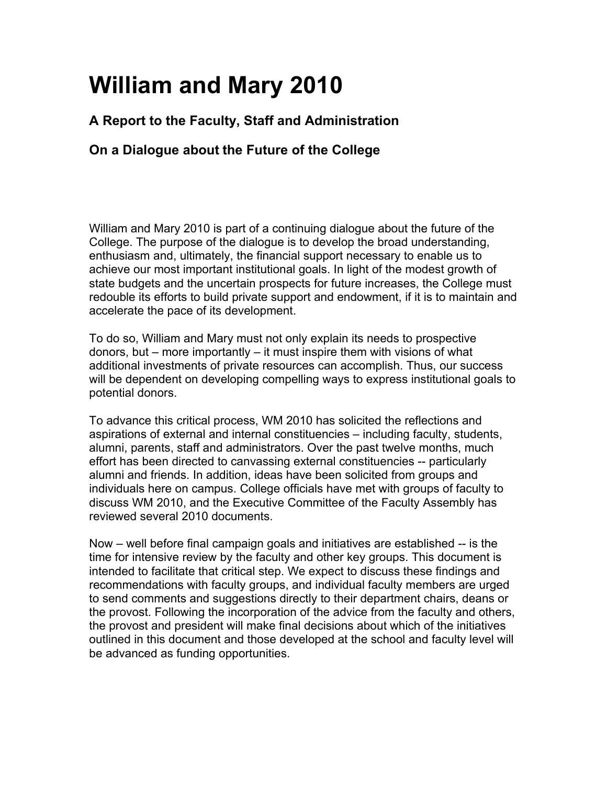# **William and Mary 2010**

# **A Report to the Faculty, Staff and Administration**

# **On a Dialogue about the Future of the College**

William and Mary 2010 is part of a continuing dialogue about the future of the College. The purpose of the dialogue is to develop the broad understanding, enthusiasm and, ultimately, the financial support necessary to enable us to achieve our most important institutional goals. In light of the modest growth of state budgets and the uncertain prospects for future increases, the College must redouble its efforts to build private support and endowment, if it is to maintain and accelerate the pace of its development.

To do so, William and Mary must not only explain its needs to prospective donors, but – more importantly – it must inspire them with visions of what additional investments of private resources can accomplish. Thus, our success will be dependent on developing compelling ways to express institutional goals to potential donors.

To advance this critical process, WM 2010 has solicited the reflections and aspirations of external and internal constituencies – including faculty, students, alumni, parents, staff and administrators. Over the past twelve months, much effort has been directed to canvassing external constituencies -- particularly alumni and friends. In addition, ideas have been solicited from groups and individuals here on campus. College officials have met with groups of faculty to discuss WM 2010, and the Executive Committee of the Faculty Assembly has reviewed several 2010 documents.

Now – well before final campaign goals and initiatives are established -- is the time for intensive review by the faculty and other key groups. This document is intended to facilitate that critical step. We expect to discuss these findings and recommendations with faculty groups, and individual faculty members are urged to send comments and suggestions directly to their department chairs, deans or the provost. Following the incorporation of the advice from the faculty and others, the provost and president will make final decisions about which of the initiatives outlined in this document and those developed at the school and faculty level will be advanced as funding opportunities.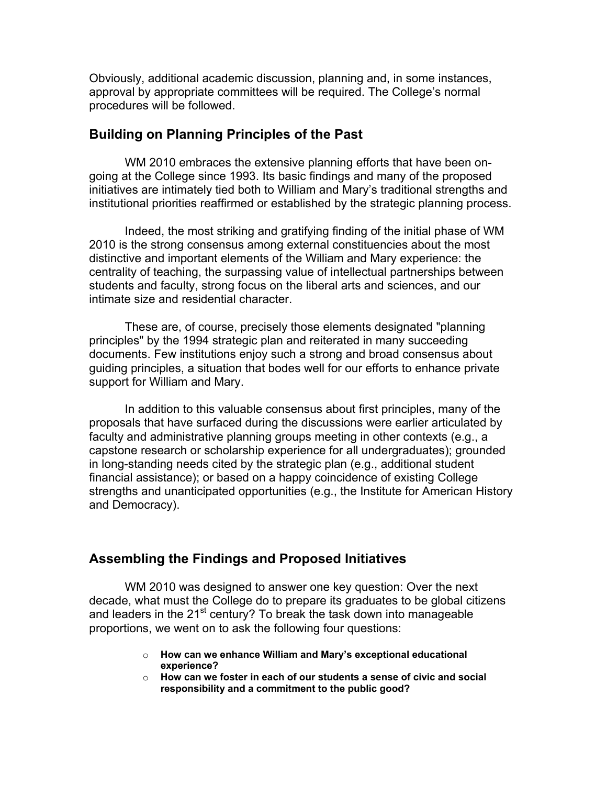Obviously, additional academic discussion, planning and, in some instances, approval by appropriate committees will be required. The College's normal procedures will be followed.

#### **Building on Planning Principles of the Past**

 WM 2010 embraces the extensive planning efforts that have been ongoing at the College since 1993. Its basic findings and many of the proposed initiatives are intimately tied both to William and Mary's traditional strengths and institutional priorities reaffirmed or established by the strategic planning process.

 Indeed, the most striking and gratifying finding of the initial phase of WM 2010 is the strong consensus among external constituencies about the most distinctive and important elements of the William and Mary experience: the centrality of teaching, the surpassing value of intellectual partnerships between students and faculty, strong focus on the liberal arts and sciences, and our intimate size and residential character.

 These are, of course, precisely those elements designated "planning principles" by the 1994 strategic plan and reiterated in many succeeding documents. Few institutions enjoy such a strong and broad consensus about guiding principles, a situation that bodes well for our efforts to enhance private support for William and Mary.

In addition to this valuable consensus about first principles, many of the proposals that have surfaced during the discussions were earlier articulated by faculty and administrative planning groups meeting in other contexts (e.g., a capstone research or scholarship experience for all undergraduates); grounded in long-standing needs cited by the strategic plan (e.g., additional student financial assistance); or based on a happy coincidence of existing College strengths and unanticipated opportunities (e.g., the Institute for American History and Democracy).

#### **Assembling the Findings and Proposed Initiatives**

WM 2010 was designed to answer one key question: Over the next decade, what must the College do to prepare its graduates to be global citizens and leaders in the  $21^{st}$  century? To break the task down into manageable proportions, we went on to ask the following four questions:

- o **How can we enhance William and Mary's exceptional educational experience?**
- o **How can we foster in each of our students a sense of civic and social responsibility and a commitment to the public good?**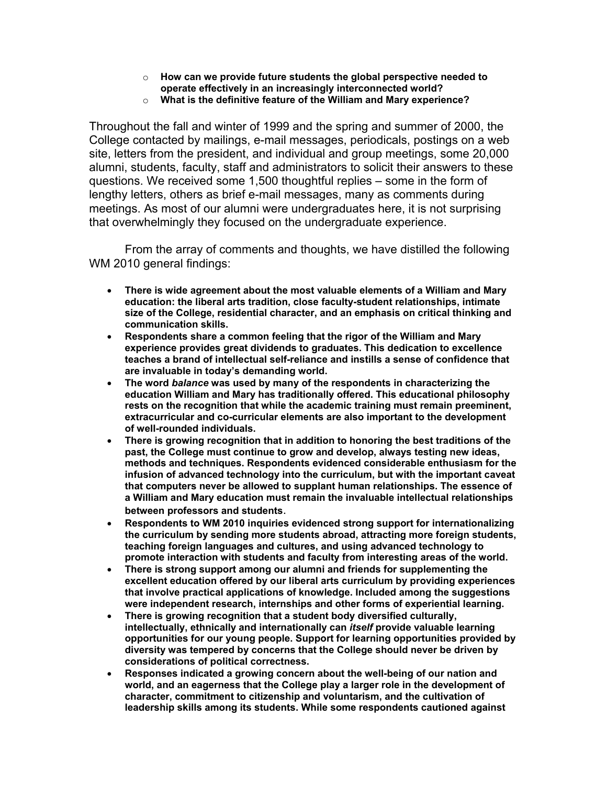- o **How can we provide future students the global perspective needed to operate effectively in an increasingly interconnected world?**
- o **What is the definitive feature of the William and Mary experience?**

Throughout the fall and winter of 1999 and the spring and summer of 2000, the College contacted by mailings, e-mail messages, periodicals, postings on a web site, letters from the president, and individual and group meetings, some 20,000 alumni, students, faculty, staff and administrators to solicit their answers to these questions. We received some 1,500 thoughtful replies – some in the form of lengthy letters, others as brief e-mail messages, many as comments during meetings. As most of our alumni were undergraduates here, it is not surprising that overwhelmingly they focused on the undergraduate experience.

 From the array of comments and thoughts, we have distilled the following WM 2010 general findings:

- **There is wide agreement about the most valuable elements of a William and Mary education: the liberal arts tradition, close faculty-student relationships, intimate size of the College, residential character, and an emphasis on critical thinking and communication skills.**
- **Respondents share a common feeling that the rigor of the William and Mary experience provides great dividends to graduates. This dedication to excellence teaches a brand of intellectual self-reliance and instills a sense of confidence that are invaluable in today's demanding world.**
- **The word** *balance* **was used by many of the respondents in characterizing the education William and Mary has traditionally offered. This educational philosophy rests on the recognition that while the academic training must remain preeminent, extracurricular and co-curricular elements are also important to the development of well-rounded individuals.**
- **There is growing recognition that in addition to honoring the best traditions of the past, the College must continue to grow and develop, always testing new ideas, methods and techniques. Respondents evidenced considerable enthusiasm for the infusion of advanced technology into the curriculum, but with the important caveat that computers never be allowed to supplant human relationships. The essence of a William and Mary education must remain the invaluable intellectual relationships between professors and students**.
- **Respondents to WM 2010 inquiries evidenced strong support for internationalizing the curriculum by sending more students abroad, attracting more foreign students, teaching foreign languages and cultures, and using advanced technology to promote interaction with students and faculty from interesting areas of the world.**
- **There is strong support among our alumni and friends for supplementing the excellent education offered by our liberal arts curriculum by providing experiences that involve practical applications of knowledge. Included among the suggestions were independent research, internships and other forms of experiential learning.**
- **There is growing recognition that a student body diversified culturally, intellectually, ethnically and internationally can** *itself* **provide valuable learning opportunities for our young people. Support for learning opportunities provided by diversity was tempered by concerns that the College should never be driven by considerations of political correctness.**
- **Responses indicated a growing concern about the well-being of our nation and world, and an eagerness that the College play a larger role in the development of character, commitment to citizenship and voluntarism, and the cultivation of leadership skills among its students. While some respondents cautioned against**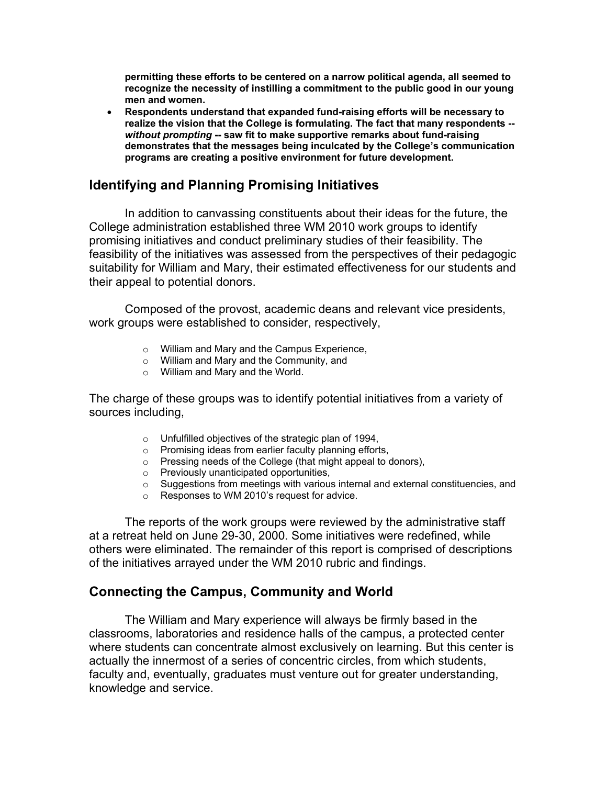**permitting these efforts to be centered on a narrow political agenda, all seemed to recognize the necessity of instilling a commitment to the public good in our young men and women.** 

• **Respondents understand that expanded fund-raising efforts will be necessary to realize the vision that the College is formulating. The fact that many respondents -**  *without prompting* **-- saw fit to make supportive remarks about fund-raising demonstrates that the messages being inculcated by the College's communication programs are creating a positive environment for future development.** 

# **Identifying and Planning Promising Initiatives**

 In addition to canvassing constituents about their ideas for the future, the College administration established three WM 2010 work groups to identify promising initiatives and conduct preliminary studies of their feasibility. The feasibility of the initiatives was assessed from the perspectives of their pedagogic suitability for William and Mary, their estimated effectiveness for our students and their appeal to potential donors.

 Composed of the provost, academic deans and relevant vice presidents, work groups were established to consider, respectively,

- o William and Mary and the Campus Experience,
- o William and Mary and the Community, and
- $\circ$  William and Mary and the World.

The charge of these groups was to identify potential initiatives from a variety of sources including,

- o Unfulfilled objectives of the strategic plan of 1994,
- o Promising ideas from earlier faculty planning efforts,
- o Pressing needs of the College (that might appeal to donors),
- o Previously unanticipated opportunities,
- o Suggestions from meetings with various internal and external constituencies, and
- o Responses to WM 2010's request for advice.

 The reports of the work groups were reviewed by the administrative staff at a retreat held on June 29-30, 2000. Some initiatives were redefined, while others were eliminated. The remainder of this report is comprised of descriptions of the initiatives arrayed under the WM 2010 rubric and findings.

# **Connecting the Campus, Community and World**

 The William and Mary experience will always be firmly based in the classrooms, laboratories and residence halls of the campus, a protected center where students can concentrate almost exclusively on learning. But this center is actually the innermost of a series of concentric circles, from which students, faculty and, eventually, graduates must venture out for greater understanding, knowledge and service.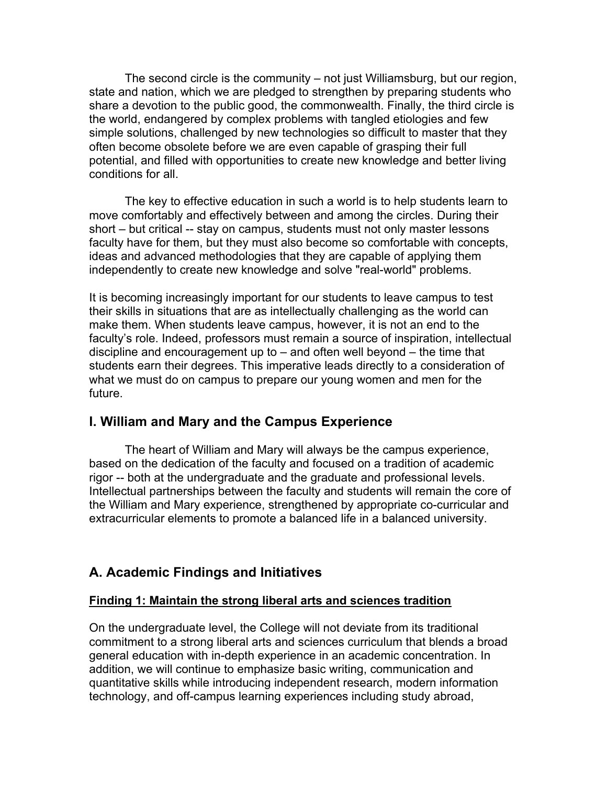The second circle is the community – not just Williamsburg, but our region, state and nation, which we are pledged to strengthen by preparing students who share a devotion to the public good, the commonwealth. Finally, the third circle is the world, endangered by complex problems with tangled etiologies and few simple solutions, challenged by new technologies so difficult to master that they often become obsolete before we are even capable of grasping their full potential, and filled with opportunities to create new knowledge and better living conditions for all.

 The key to effective education in such a world is to help students learn to move comfortably and effectively between and among the circles. During their short – but critical -- stay on campus, students must not only master lessons faculty have for them, but they must also become so comfortable with concepts, ideas and advanced methodologies that they are capable of applying them independently to create new knowledge and solve "real-world" problems.

It is becoming increasingly important for our students to leave campus to test their skills in situations that are as intellectually challenging as the world can make them. When students leave campus, however, it is not an end to the faculty's role. Indeed, professors must remain a source of inspiration, intellectual discipline and encouragement up to – and often well beyond – the time that students earn their degrees. This imperative leads directly to a consideration of what we must do on campus to prepare our young women and men for the future.

# **I. William and Mary and the Campus Experience**

The heart of William and Mary will always be the campus experience, based on the dedication of the faculty and focused on a tradition of academic rigor -- both at the undergraduate and the graduate and professional levels. Intellectual partnerships between the faculty and students will remain the core of the William and Mary experience, strengthened by appropriate co-curricular and extracurricular elements to promote a balanced life in a balanced university.

# **A. Academic Findings and Initiatives**

## **Finding 1: Maintain the strong liberal arts and sciences tradition**

On the undergraduate level, the College will not deviate from its traditional commitment to a strong liberal arts and sciences curriculum that blends a broad general education with in-depth experience in an academic concentration. In addition, we will continue to emphasize basic writing, communication and quantitative skills while introducing independent research, modern information technology, and off-campus learning experiences including study abroad,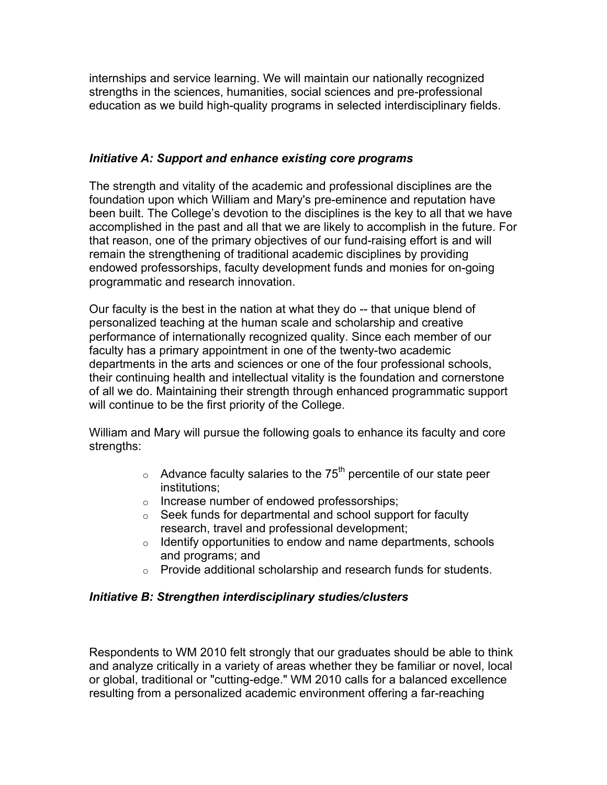internships and service learning. We will maintain our nationally recognized strengths in the sciences, humanities, social sciences and pre-professional education as we build high-quality programs in selected interdisciplinary fields.

# *Initiative A: Support and enhance existing core programs*

The strength and vitality of the academic and professional disciplines are the foundation upon which William and Mary's pre-eminence and reputation have been built. The College's devotion to the disciplines is the key to all that we have accomplished in the past and all that we are likely to accomplish in the future. For that reason, one of the primary objectives of our fund-raising effort is and will remain the strengthening of traditional academic disciplines by providing endowed professorships, faculty development funds and monies for on-going programmatic and research innovation.

Our faculty is the best in the nation at what they do -- that unique blend of personalized teaching at the human scale and scholarship and creative performance of internationally recognized quality. Since each member of our faculty has a primary appointment in one of the twenty-two academic departments in the arts and sciences or one of the four professional schools, their continuing health and intellectual vitality is the foundation and cornerstone of all we do. Maintaining their strength through enhanced programmatic support will continue to be the first priority of the College.

William and Mary will pursue the following goals to enhance its faculty and core strengths:

- $\circ$  Advance faculty salaries to the 75<sup>th</sup> percentile of our state peer institutions;
- o Increase number of endowed professorships;
- $\circ$  Seek funds for departmental and school support for faculty research, travel and professional development;
- o Identify opportunities to endow and name departments, schools and programs; and
- o Provide additional scholarship and research funds for students.

# *Initiative B: Strengthen interdisciplinary studies/clusters*

Respondents to WM 2010 felt strongly that our graduates should be able to think and analyze critically in a variety of areas whether they be familiar or novel, local or global, traditional or "cutting-edge." WM 2010 calls for a balanced excellence resulting from a personalized academic environment offering a far-reaching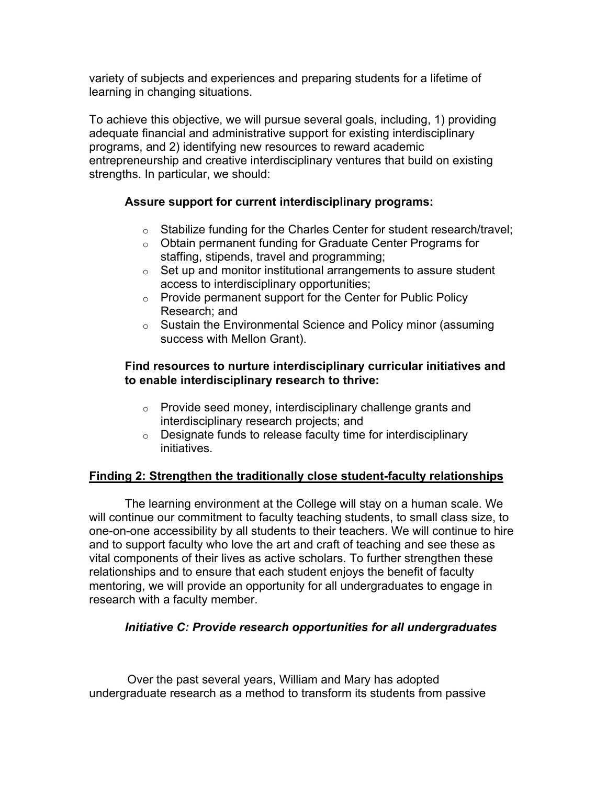variety of subjects and experiences and preparing students for a lifetime of learning in changing situations.

To achieve this objective, we will pursue several goals, including, 1) providing adequate financial and administrative support for existing interdisciplinary programs, and 2) identifying new resources to reward academic entrepreneurship and creative interdisciplinary ventures that build on existing strengths. In particular, we should:

# **Assure support for current interdisciplinary programs:**

- o Stabilize funding for the Charles Center for student research/travel;
- o Obtain permanent funding for Graduate Center Programs for staffing, stipends, travel and programming;
- $\circ$  Set up and monitor institutional arrangements to assure student access to interdisciplinary opportunities;
- $\circ$  Provide permanent support for the Center for Public Policy Research; and
- o Sustain the Environmental Science and Policy minor (assuming success with Mellon Grant).

# **Find resources to nurture interdisciplinary curricular initiatives and to enable interdisciplinary research to thrive:**

- o Provide seed money, interdisciplinary challenge grants and interdisciplinary research projects; and
- o Designate funds to release faculty time for interdisciplinary initiatives.

## **Finding 2: Strengthen the traditionally close student-faculty relationships**

 The learning environment at the College will stay on a human scale. We will continue our commitment to faculty teaching students, to small class size, to one-on-one accessibility by all students to their teachers. We will continue to hire and to support faculty who love the art and craft of teaching and see these as vital components of their lives as active scholars. To further strengthen these relationships and to ensure that each student enjoys the benefit of faculty mentoring, we will provide an opportunity for all undergraduates to engage in research with a faculty member.

## *Initiative C: Provide research opportunities for all undergraduates*

Over the past several years, William and Mary has adopted undergraduate research as a method to transform its students from passive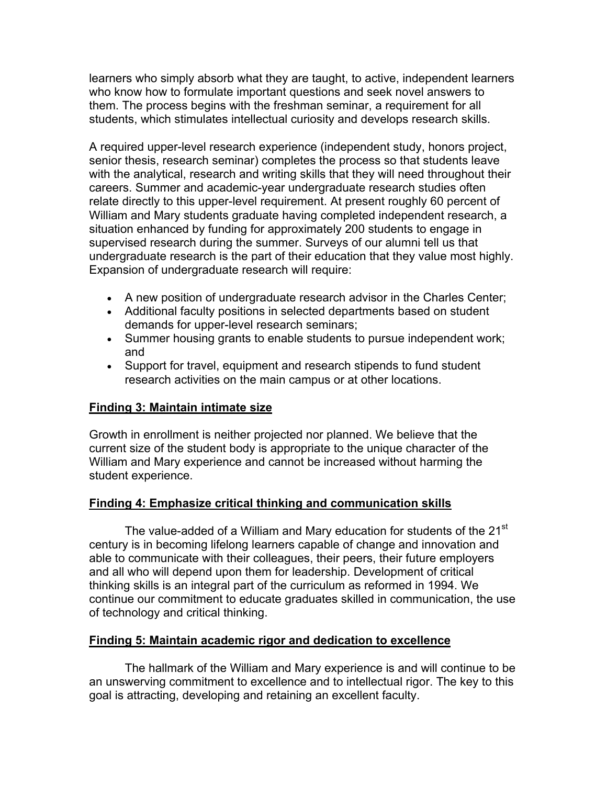learners who simply absorb what they are taught, to active, independent learners who know how to formulate important questions and seek novel answers to them. The process begins with the freshman seminar, a requirement for all students, which stimulates intellectual curiosity and develops research skills.

A required upper-level research experience (independent study, honors project, senior thesis, research seminar) completes the process so that students leave with the analytical, research and writing skills that they will need throughout their careers. Summer and academic-year undergraduate research studies often relate directly to this upper-level requirement. At present roughly 60 percent of William and Mary students graduate having completed independent research, a situation enhanced by funding for approximately 200 students to engage in supervised research during the summer. Surveys of our alumni tell us that undergraduate research is the part of their education that they value most highly. Expansion of undergraduate research will require:

- A new position of undergraduate research advisor in the Charles Center;
- Additional faculty positions in selected departments based on student demands for upper-level research seminars;
- Summer housing grants to enable students to pursue independent work; and
- Support for travel, equipment and research stipends to fund student research activities on the main campus or at other locations.

# **Finding 3: Maintain intimate size**

Growth in enrollment is neither projected nor planned. We believe that the current size of the student body is appropriate to the unique character of the William and Mary experience and cannot be increased without harming the student experience.

# **Finding 4: Emphasize critical thinking and communication skills**

The value-added of a William and Mary education for students of the 21<sup>st</sup> century is in becoming lifelong learners capable of change and innovation and able to communicate with their colleagues, their peers, their future employers and all who will depend upon them for leadership. Development of critical thinking skills is an integral part of the curriculum as reformed in 1994. We continue our commitment to educate graduates skilled in communication, the use of technology and critical thinking.

# **Finding 5: Maintain academic rigor and dedication to excellence**

 The hallmark of the William and Mary experience is and will continue to be an unswerving commitment to excellence and to intellectual rigor. The key to this goal is attracting, developing and retaining an excellent faculty.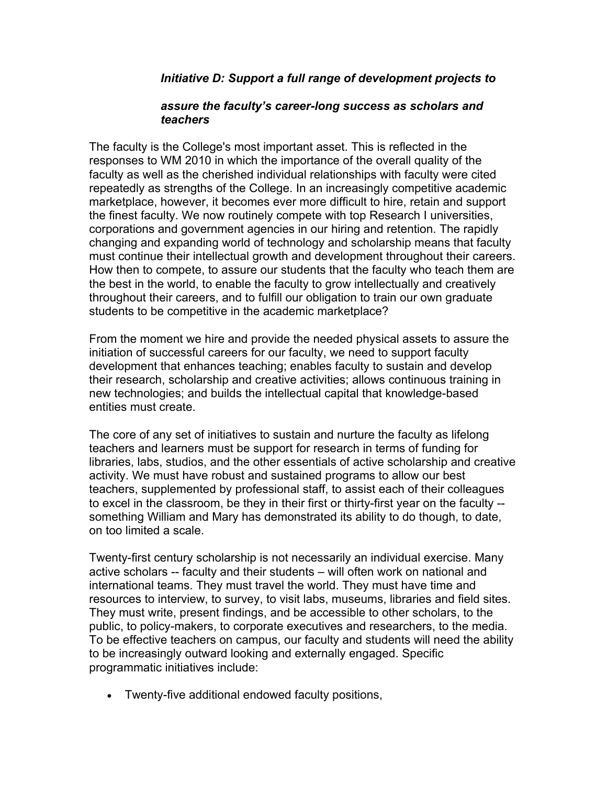## *Initiative D: Support a full range of development projects to*

#### *assure the faculty's career-long success as scholars and teachers*

The faculty is the College's most important asset. This is reflected in the responses to WM 2010 in which the importance of the overall quality of the faculty as well as the cherished individual relationships with faculty were cited repeatedly as strengths of the College. In an increasingly competitive academic marketplace, however, it becomes ever more difficult to hire, retain and support the finest faculty. We now routinely compete with top Research I universities, corporations and government agencies in our hiring and retention. The rapidly changing and expanding world of technology and scholarship means that faculty must continue their intellectual growth and development throughout their careers. How then to compete, to assure our students that the faculty who teach them are the best in the world, to enable the faculty to grow intellectually and creatively throughout their careers, and to fulfill our obligation to train our own graduate students to be competitive in the academic marketplace?

From the moment we hire and provide the needed physical assets to assure the initiation of successful careers for our faculty, we need to support faculty development that enhances teaching; enables faculty to sustain and develop their research, scholarship and creative activities; allows continuous training in new technologies; and builds the intellectual capital that knowledge-based entities must create.

The core of any set of initiatives to sustain and nurture the faculty as lifelong teachers and learners must be support for research in terms of funding for libraries, labs, studios, and the other essentials of active scholarship and creative activity. We must have robust and sustained programs to allow our best teachers, supplemented by professional staff, to assist each of their colleagues to excel in the classroom, be they in their first or thirty-first year on the faculty - something William and Mary has demonstrated its ability to do though, to date, on too limited a scale.

Twenty-first century scholarship is not necessarily an individual exercise. Many active scholars -- faculty and their students – will often work on national and international teams. They must travel the world. They must have time and resources to interview, to survey, to visit labs, museums, libraries and field sites. They must write, present findings, and be accessible to other scholars, to the public, to policy-makers, to corporate executives and researchers, to the media. To be effective teachers on campus, our faculty and students will need the ability to be increasingly outward looking and externally engaged. Specific programmatic initiatives include:

• Twenty-five additional endowed faculty positions,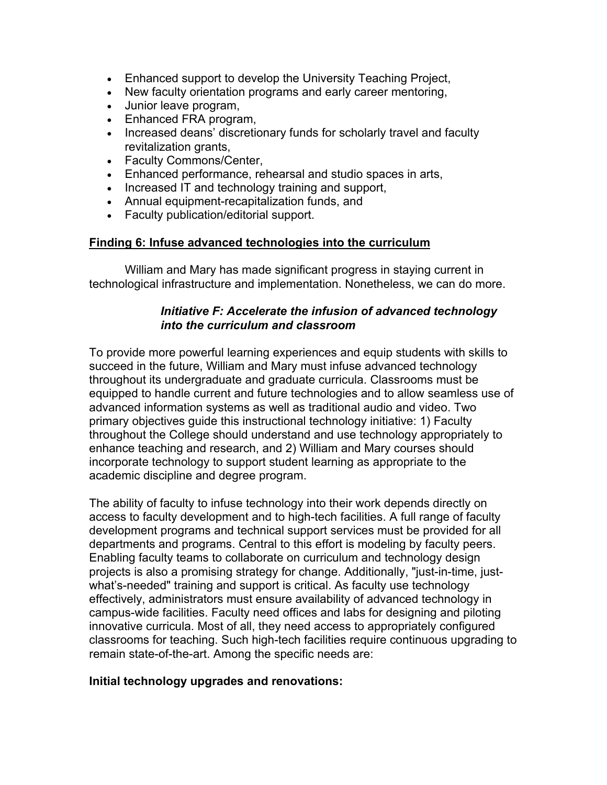- Enhanced support to develop the University Teaching Project,
- New faculty orientation programs and early career mentoring,
- Junior leave program,
- Enhanced FRA program,
- Increased deans' discretionary funds for scholarly travel and faculty revitalization grants,
- Faculty Commons/Center,
- Enhanced performance, rehearsal and studio spaces in arts,
- Increased IT and technology training and support,
- Annual equipment-recapitalization funds, and
- Faculty publication/editorial support.

## **Finding 6: Infuse advanced technologies into the curriculum**

 William and Mary has made significant progress in staying current in technological infrastructure and implementation. Nonetheless, we can do more.

# *Initiative F: Accelerate the infusion of advanced technology into the curriculum and classroom*

To provide more powerful learning experiences and equip students with skills to succeed in the future, William and Mary must infuse advanced technology throughout its undergraduate and graduate curricula. Classrooms must be equipped to handle current and future technologies and to allow seamless use of advanced information systems as well as traditional audio and video. Two primary objectives guide this instructional technology initiative: 1) Faculty throughout the College should understand and use technology appropriately to enhance teaching and research, and 2) William and Mary courses should incorporate technology to support student learning as appropriate to the academic discipline and degree program.

The ability of faculty to infuse technology into their work depends directly on access to faculty development and to high-tech facilities. A full range of faculty development programs and technical support services must be provided for all departments and programs. Central to this effort is modeling by faculty peers. Enabling faculty teams to collaborate on curriculum and technology design projects is also a promising strategy for change. Additionally, "just-in-time, justwhat's-needed" training and support is critical. As faculty use technology effectively, administrators must ensure availability of advanced technology in campus-wide facilities. Faculty need offices and labs for designing and piloting innovative curricula. Most of all, they need access to appropriately configured classrooms for teaching. Such high-tech facilities require continuous upgrading to remain state-of-the-art. Among the specific needs are:

## **Initial technology upgrades and renovations:**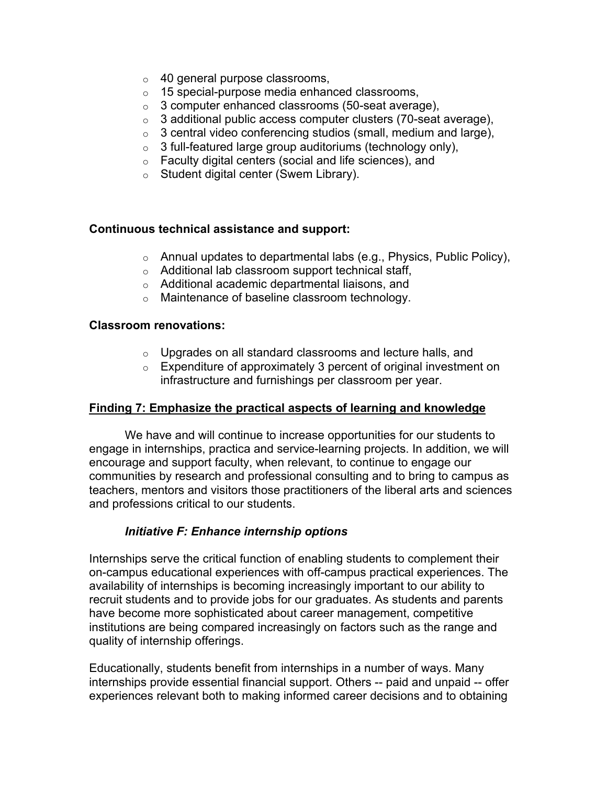- o 40 general purpose classrooms,
- o 15 special-purpose media enhanced classrooms,
- $\circ$  3 computer enhanced classrooms (50-seat average),
- $\circ$  3 additional public access computer clusters (70-seat average),
- $\circ$  3 central video conferencing studios (small, medium and large),
- $\circ$  3 full-featured large group auditoriums (technology only),
- o Faculty digital centers (social and life sciences), and
- o Student digital center (Swem Library).

#### **Continuous technical assistance and support:**

- o Annual updates to departmental labs (e.g., Physics, Public Policy),
- o Additional lab classroom support technical staff,
- o Additional academic departmental liaisons, and
- o Maintenance of baseline classroom technology.

#### **Classroom renovations:**

- o Upgrades on all standard classrooms and lecture halls, and
- o Expenditure of approximately 3 percent of original investment on infrastructure and furnishings per classroom per year.

#### **Finding 7: Emphasize the practical aspects of learning and knowledge**

 We have and will continue to increase opportunities for our students to engage in internships, practica and service-learning projects. In addition, we will encourage and support faculty, when relevant, to continue to engage our communities by research and professional consulting and to bring to campus as teachers, mentors and visitors those practitioners of the liberal arts and sciences and professions critical to our students.

## *Initiative F: Enhance internship options*

Internships serve the critical function of enabling students to complement their on-campus educational experiences with off-campus practical experiences. The availability of internships is becoming increasingly important to our ability to recruit students and to provide jobs for our graduates. As students and parents have become more sophisticated about career management, competitive institutions are being compared increasingly on factors such as the range and quality of internship offerings.

Educationally, students benefit from internships in a number of ways. Many internships provide essential financial support. Others -- paid and unpaid -- offer experiences relevant both to making informed career decisions and to obtaining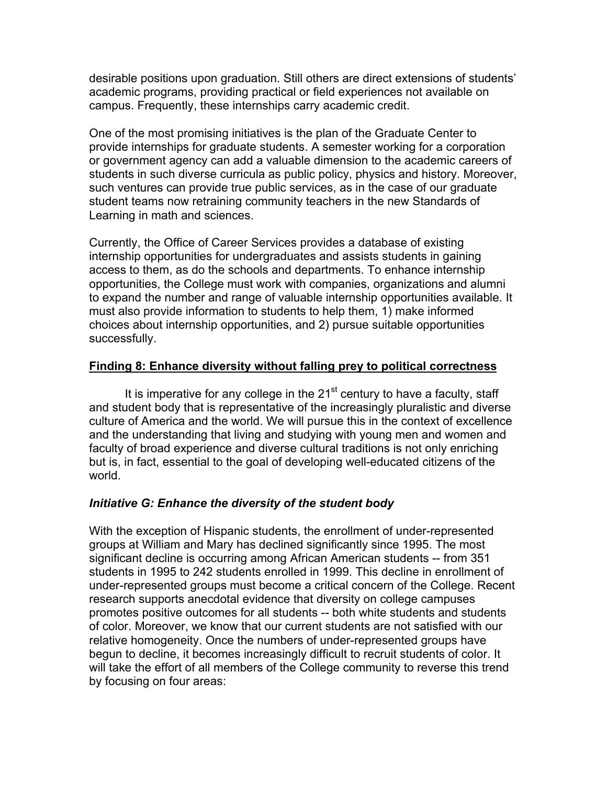desirable positions upon graduation. Still others are direct extensions of students' academic programs, providing practical or field experiences not available on campus. Frequently, these internships carry academic credit.

One of the most promising initiatives is the plan of the Graduate Center to provide internships for graduate students. A semester working for a corporation or government agency can add a valuable dimension to the academic careers of students in such diverse curricula as public policy, physics and history. Moreover, such ventures can provide true public services, as in the case of our graduate student teams now retraining community teachers in the new Standards of Learning in math and sciences.

Currently, the Office of Career Services provides a database of existing internship opportunities for undergraduates and assists students in gaining access to them, as do the schools and departments. To enhance internship opportunities, the College must work with companies, organizations and alumni to expand the number and range of valuable internship opportunities available. It must also provide information to students to help them, 1) make informed choices about internship opportunities, and 2) pursue suitable opportunities successfully.

# **Finding 8: Enhance diversity without falling prey to political correctness**

It is imperative for any college in the  $21<sup>st</sup>$  century to have a faculty, staff and student body that is representative of the increasingly pluralistic and diverse culture of America and the world. We will pursue this in the context of excellence and the understanding that living and studying with young men and women and faculty of broad experience and diverse cultural traditions is not only enriching but is, in fact, essential to the goal of developing well-educated citizens of the world.

# *Initiative G: Enhance the diversity of the student body*

With the exception of Hispanic students, the enrollment of under-represented groups at William and Mary has declined significantly since 1995. The most significant decline is occurring among African American students -- from 351 students in 1995 to 242 students enrolled in 1999. This decline in enrollment of under-represented groups must become a critical concern of the College. Recent research supports anecdotal evidence that diversity on college campuses promotes positive outcomes for all students -- both white students and students of color. Moreover, we know that our current students are not satisfied with our relative homogeneity. Once the numbers of under-represented groups have begun to decline, it becomes increasingly difficult to recruit students of color. It will take the effort of all members of the College community to reverse this trend by focusing on four areas: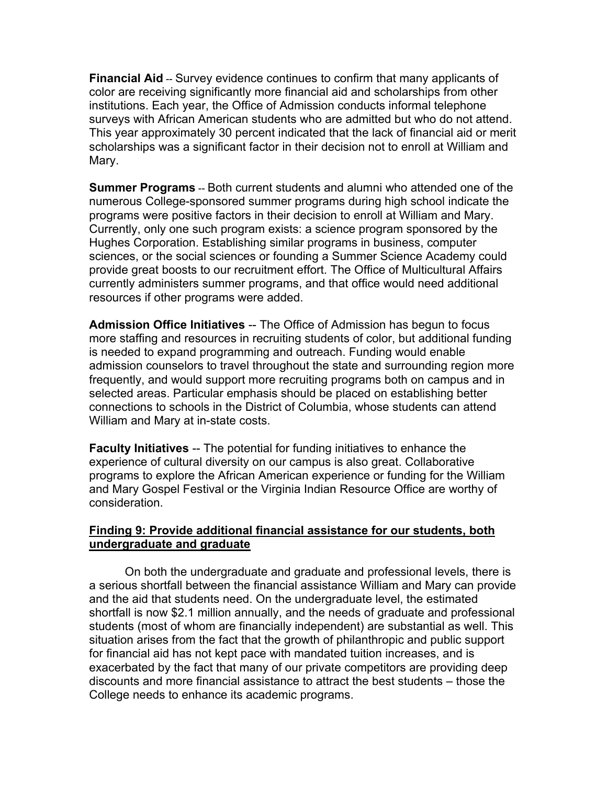**Financial Aid** -- Survey evidence continues to confirm that many applicants of color are receiving significantly more financial aid and scholarships from other institutions. Each year, the Office of Admission conducts informal telephone surveys with African American students who are admitted but who do not attend. This year approximately 30 percent indicated that the lack of financial aid or merit scholarships was a significant factor in their decision not to enroll at William and Mary.

**Summer Programs** -- Both current students and alumni who attended one of the numerous College-sponsored summer programs during high school indicate the programs were positive factors in their decision to enroll at William and Mary. Currently, only one such program exists: a science program sponsored by the Hughes Corporation. Establishing similar programs in business, computer sciences, or the social sciences or founding a Summer Science Academy could provide great boosts to our recruitment effort. The Office of Multicultural Affairs currently administers summer programs, and that office would need additional resources if other programs were added.

**Admission Office Initiatives** -- The Office of Admission has begun to focus more staffing and resources in recruiting students of color, but additional funding is needed to expand programming and outreach. Funding would enable admission counselors to travel throughout the state and surrounding region more frequently, and would support more recruiting programs both on campus and in selected areas. Particular emphasis should be placed on establishing better connections to schools in the District of Columbia, whose students can attend William and Mary at in-state costs.

**Faculty Initiatives** -- The potential for funding initiatives to enhance the experience of cultural diversity on our campus is also great. Collaborative programs to explore the African American experience or funding for the William and Mary Gospel Festival or the Virginia Indian Resource Office are worthy of consideration.

# **Finding 9: Provide additional financial assistance for our students, both undergraduate and graduate**

 On both the undergraduate and graduate and professional levels, there is a serious shortfall between the financial assistance William and Mary can provide and the aid that students need. On the undergraduate level, the estimated shortfall is now \$2.1 million annually, and the needs of graduate and professional students (most of whom are financially independent) are substantial as well. This situation arises from the fact that the growth of philanthropic and public support for financial aid has not kept pace with mandated tuition increases, and is exacerbated by the fact that many of our private competitors are providing deep discounts and more financial assistance to attract the best students – those the College needs to enhance its academic programs.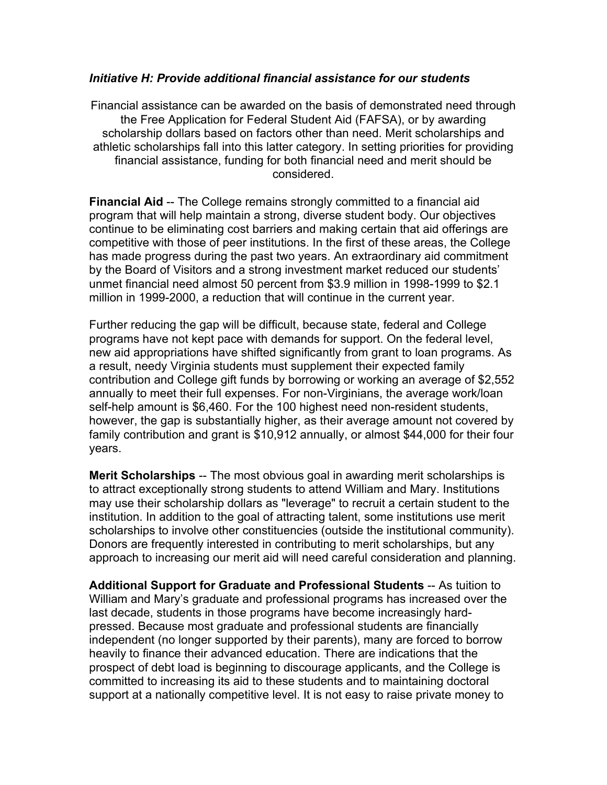#### *Initiative H: Provide additional financial assistance for our students*

Financial assistance can be awarded on the basis of demonstrated need through the Free Application for Federal Student Aid (FAFSA), or by awarding scholarship dollars based on factors other than need. Merit scholarships and athletic scholarships fall into this latter category. In setting priorities for providing financial assistance, funding for both financial need and merit should be considered.

**Financial Aid** -- The College remains strongly committed to a financial aid program that will help maintain a strong, diverse student body. Our objectives continue to be eliminating cost barriers and making certain that aid offerings are competitive with those of peer institutions. In the first of these areas, the College has made progress during the past two years. An extraordinary aid commitment by the Board of Visitors and a strong investment market reduced our students' unmet financial need almost 50 percent from \$3.9 million in 1998-1999 to \$2.1 million in 1999-2000, a reduction that will continue in the current year.

Further reducing the gap will be difficult, because state, federal and College programs have not kept pace with demands for support. On the federal level, new aid appropriations have shifted significantly from grant to loan programs. As a result, needy Virginia students must supplement their expected family contribution and College gift funds by borrowing or working an average of \$2,552 annually to meet their full expenses. For non-Virginians, the average work/loan self-help amount is \$6,460. For the 100 highest need non-resident students, however, the gap is substantially higher, as their average amount not covered by family contribution and grant is \$10,912 annually, or almost \$44,000 for their four years.

**Merit Scholarships** -- The most obvious goal in awarding merit scholarships is to attract exceptionally strong students to attend William and Mary. Institutions may use their scholarship dollars as "leverage" to recruit a certain student to the institution. In addition to the goal of attracting talent, some institutions use merit scholarships to involve other constituencies (outside the institutional community). Donors are frequently interested in contributing to merit scholarships, but any approach to increasing our merit aid will need careful consideration and planning.

**Additional Support for Graduate and Professional Students** -- As tuition to William and Mary's graduate and professional programs has increased over the last decade, students in those programs have become increasingly hardpressed. Because most graduate and professional students are financially independent (no longer supported by their parents), many are forced to borrow heavily to finance their advanced education. There are indications that the prospect of debt load is beginning to discourage applicants, and the College is committed to increasing its aid to these students and to maintaining doctoral support at a nationally competitive level. It is not easy to raise private money to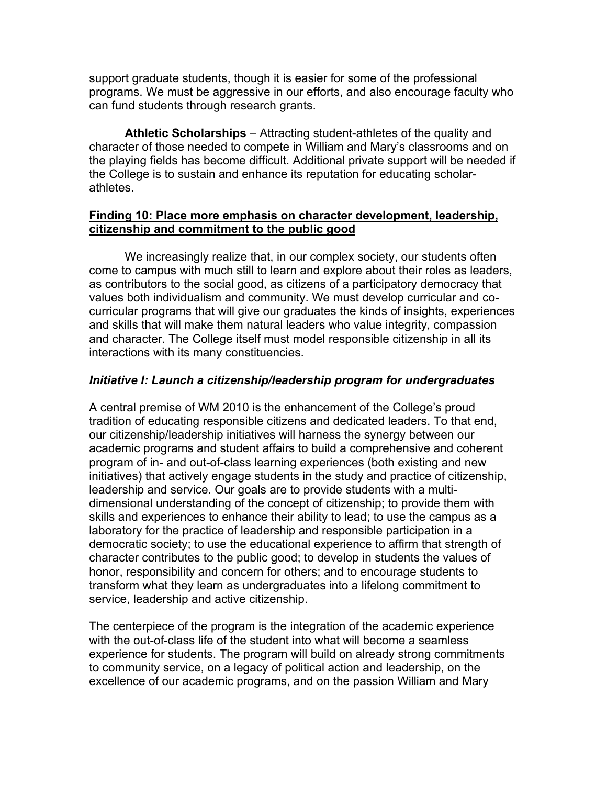support graduate students, though it is easier for some of the professional programs. We must be aggressive in our efforts, and also encourage faculty who can fund students through research grants.

**Athletic Scholarships** – Attracting student-athletes of the quality and character of those needed to compete in William and Mary's classrooms and on the playing fields has become difficult. Additional private support will be needed if the College is to sustain and enhance its reputation for educating scholarathletes.

## **Finding 10: Place more emphasis on character development, leadership, citizenship and commitment to the public good**

We increasingly realize that, in our complex society, our students often come to campus with much still to learn and explore about their roles as leaders, as contributors to the social good, as citizens of a participatory democracy that values both individualism and community. We must develop curricular and cocurricular programs that will give our graduates the kinds of insights, experiences and skills that will make them natural leaders who value integrity, compassion and character. The College itself must model responsible citizenship in all its interactions with its many constituencies.

# *Initiative I: Launch a citizenship/leadership program for undergraduates*

A central premise of WM 2010 is the enhancement of the College's proud tradition of educating responsible citizens and dedicated leaders. To that end, our citizenship/leadership initiatives will harness the synergy between our academic programs and student affairs to build a comprehensive and coherent program of in- and out-of-class learning experiences (both existing and new initiatives) that actively engage students in the study and practice of citizenship, leadership and service. Our goals are to provide students with a multidimensional understanding of the concept of citizenship; to provide them with skills and experiences to enhance their ability to lead; to use the campus as a laboratory for the practice of leadership and responsible participation in a democratic society; to use the educational experience to affirm that strength of character contributes to the public good; to develop in students the values of honor, responsibility and concern for others; and to encourage students to transform what they learn as undergraduates into a lifelong commitment to service, leadership and active citizenship.

The centerpiece of the program is the integration of the academic experience with the out-of-class life of the student into what will become a seamless experience for students. The program will build on already strong commitments to community service, on a legacy of political action and leadership, on the excellence of our academic programs, and on the passion William and Mary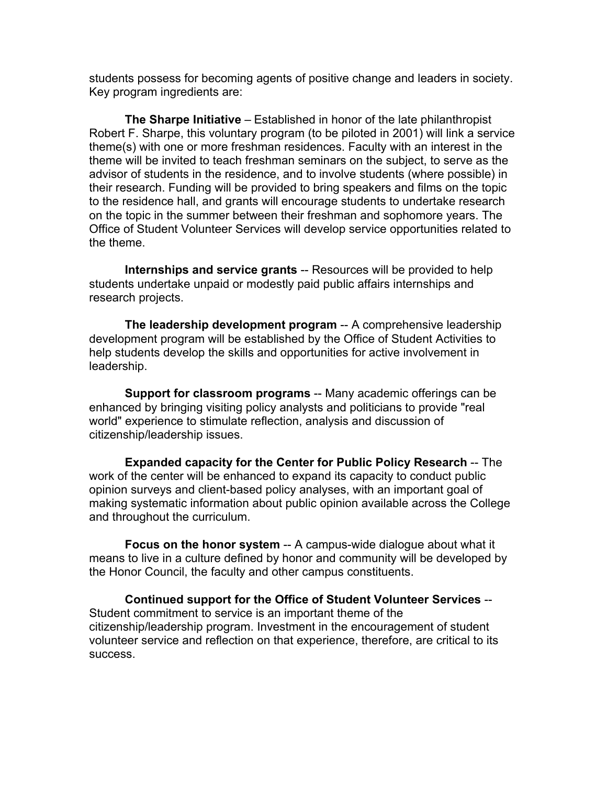students possess for becoming agents of positive change and leaders in society. Key program ingredients are:

 **The Sharpe Initiative** – Established in honor of the late philanthropist Robert F. Sharpe, this voluntary program (to be piloted in 2001) will link a service theme(s) with one or more freshman residences. Faculty with an interest in the theme will be invited to teach freshman seminars on the subject, to serve as the advisor of students in the residence, and to involve students (where possible) in their research. Funding will be provided to bring speakers and films on the topic to the residence hall, and grants will encourage students to undertake research on the topic in the summer between their freshman and sophomore years. The Office of Student Volunteer Services will develop service opportunities related to the theme.

 **Internships and service grants** -- Resources will be provided to help students undertake unpaid or modestly paid public affairs internships and research projects.

 **The leadership development program** -- A comprehensive leadership development program will be established by the Office of Student Activities to help students develop the skills and opportunities for active involvement in leadership.

**Support for classroom programs** -- Many academic offerings can be enhanced by bringing visiting policy analysts and politicians to provide "real world" experience to stimulate reflection, analysis and discussion of citizenship/leadership issues.

**Expanded capacity for the Center for Public Policy Research** -- The work of the center will be enhanced to expand its capacity to conduct public opinion surveys and client-based policy analyses, with an important goal of making systematic information about public opinion available across the College and throughout the curriculum.

 **Focus on the honor system** -- A campus-wide dialogue about what it means to live in a culture defined by honor and community will be developed by the Honor Council, the faculty and other campus constituents.

 **Continued support for the Office of Student Volunteer Services** -- Student commitment to service is an important theme of the citizenship/leadership program. Investment in the encouragement of student volunteer service and reflection on that experience, therefore, are critical to its success.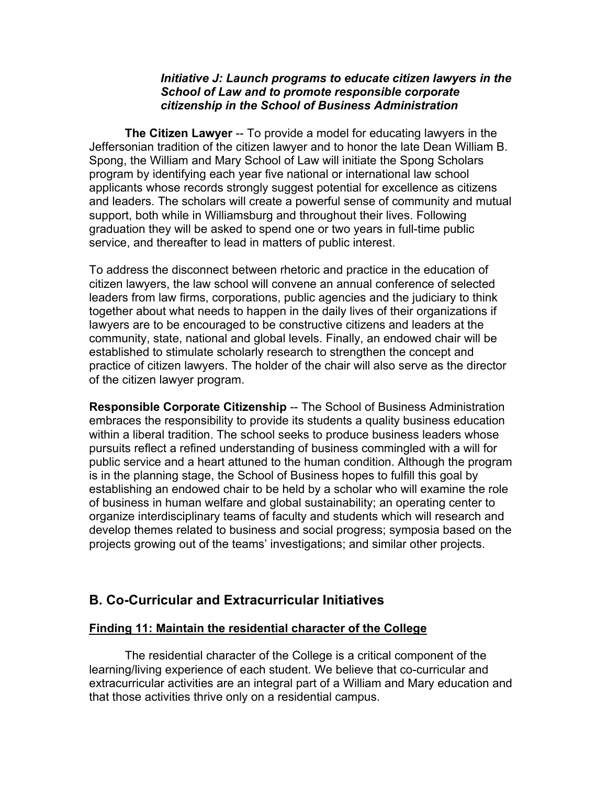#### *Initiative J: Launch programs to educate citizen lawyers in the School of Law and to promote responsible corporate citizenship in the School of Business Administration*

**The Citizen Lawyer** -- To provide a model for educating lawyers in the Jeffersonian tradition of the citizen lawyer and to honor the late Dean William B. Spong, the William and Mary School of Law will initiate the Spong Scholars program by identifying each year five national or international law school applicants whose records strongly suggest potential for excellence as citizens and leaders. The scholars will create a powerful sense of community and mutual support, both while in Williamsburg and throughout their lives. Following graduation they will be asked to spend one or two years in full-time public service, and thereafter to lead in matters of public interest.

To address the disconnect between rhetoric and practice in the education of citizen lawyers, the law school will convene an annual conference of selected leaders from law firms, corporations, public agencies and the judiciary to think together about what needs to happen in the daily lives of their organizations if lawyers are to be encouraged to be constructive citizens and leaders at the community, state, national and global levels. Finally, an endowed chair will be established to stimulate scholarly research to strengthen the concept and practice of citizen lawyers. The holder of the chair will also serve as the director of the citizen lawyer program.

**Responsible Corporate Citizenship** -- The School of Business Administration embraces the responsibility to provide its students a quality business education within a liberal tradition. The school seeks to produce business leaders whose pursuits reflect a refined understanding of business commingled with a will for public service and a heart attuned to the human condition. Although the program is in the planning stage, the School of Business hopes to fulfill this goal by establishing an endowed chair to be held by a scholar who will examine the role of business in human welfare and global sustainability; an operating center to organize interdisciplinary teams of faculty and students which will research and develop themes related to business and social progress; symposia based on the projects growing out of the teams' investigations; and similar other projects.

# **B. Co-Curricular and Extracurricular Initiatives**

## **Finding 11: Maintain the residential character of the College**

 The residential character of the College is a critical component of the learning/living experience of each student. We believe that co-curricular and extracurricular activities are an integral part of a William and Mary education and that those activities thrive only on a residential campus.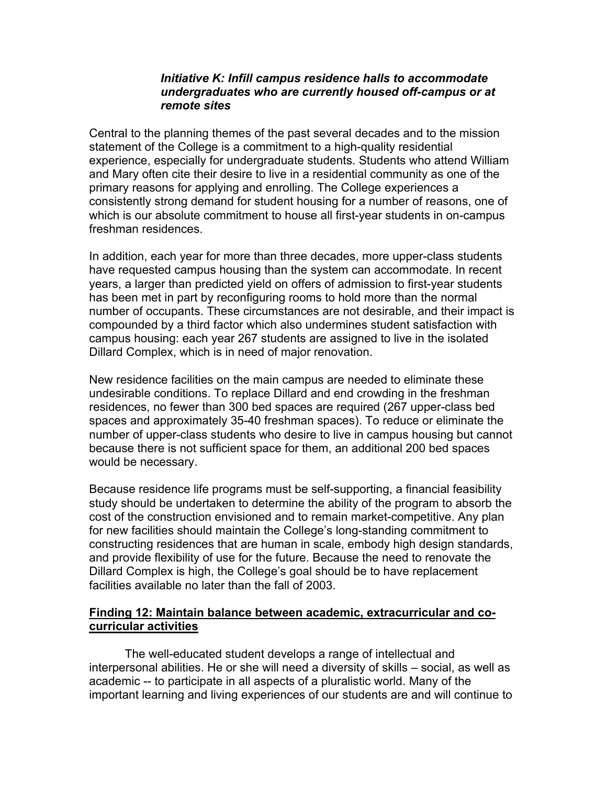#### *Initiative K: Infill campus residence halls to accommodate undergraduates who are currently housed off-campus or at remote sites*

Central to the planning themes of the past several decades and to the mission statement of the College is a commitment to a high-quality residential experience, especially for undergraduate students. Students who attend William and Mary often cite their desire to live in a residential community as one of the primary reasons for applying and enrolling. The College experiences a consistently strong demand for student housing for a number of reasons, one of which is our absolute commitment to house all first-year students in on-campus freshman residences.

In addition, each year for more than three decades, more upper-class students have requested campus housing than the system can accommodate. In recent years, a larger than predicted yield on offers of admission to first-year students has been met in part by reconfiguring rooms to hold more than the normal number of occupants. These circumstances are not desirable, and their impact is compounded by a third factor which also undermines student satisfaction with campus housing: each year 267 students are assigned to live in the isolated Dillard Complex, which is in need of major renovation.

New residence facilities on the main campus are needed to eliminate these undesirable conditions. To replace Dillard and end crowding in the freshman residences, no fewer than 300 bed spaces are required (267 upper-class bed spaces and approximately 35-40 freshman spaces). To reduce or eliminate the number of upper-class students who desire to live in campus housing but cannot because there is not sufficient space for them, an additional 200 bed spaces would be necessary.

Because residence life programs must be self-supporting, a financial feasibility study should be undertaken to determine the ability of the program to absorb the cost of the construction envisioned and to remain market-competitive. Any plan for new facilities should maintain the College's long-standing commitment to constructing residences that are human in scale, embody high design standards, and provide flexibility of use for the future. Because the need to renovate the Dillard Complex is high, the College's goal should be to have replacement facilities available no later than the fall of 2003.

# **Finding 12: Maintain balance between academic, extracurricular and cocurricular activities**

 The well-educated student develops a range of intellectual and interpersonal abilities. He or she will need a diversity of skills – social, as well as academic -- to participate in all aspects of a pluralistic world. Many of the important learning and living experiences of our students are and will continue to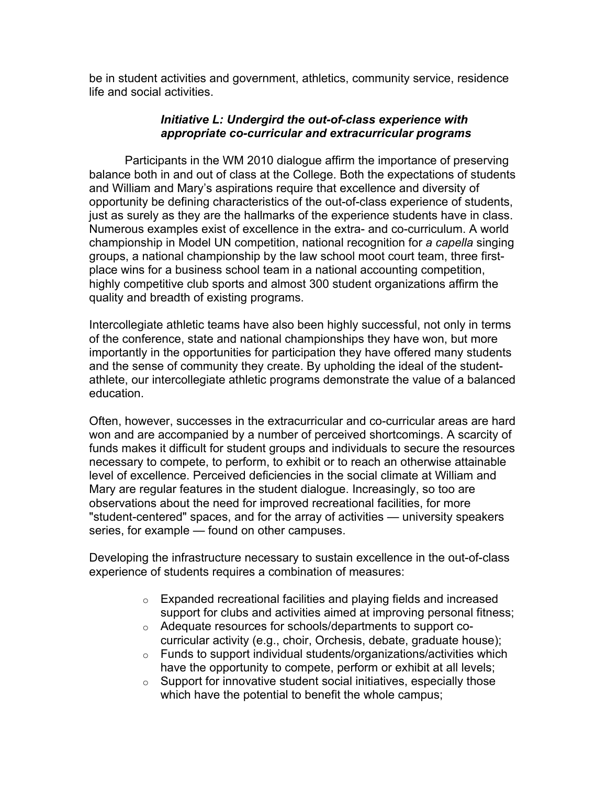be in student activities and government, athletics, community service, residence life and social activities.

# *Initiative L: Undergird the out-of-class experience with appropriate co-curricular and extracurricular programs*

 Participants in the WM 2010 dialogue affirm the importance of preserving balance both in and out of class at the College. Both the expectations of students and William and Mary's aspirations require that excellence and diversity of opportunity be defining characteristics of the out-of-class experience of students, just as surely as they are the hallmarks of the experience students have in class. Numerous examples exist of excellence in the extra- and co-curriculum. A world championship in Model UN competition, national recognition for *a capella* singing groups, a national championship by the law school moot court team, three firstplace wins for a business school team in a national accounting competition, highly competitive club sports and almost 300 student organizations affirm the quality and breadth of existing programs.

Intercollegiate athletic teams have also been highly successful, not only in terms of the conference, state and national championships they have won, but more importantly in the opportunities for participation they have offered many students and the sense of community they create. By upholding the ideal of the studentathlete, our intercollegiate athletic programs demonstrate the value of a balanced education.

Often, however, successes in the extracurricular and co-curricular areas are hard won and are accompanied by a number of perceived shortcomings. A scarcity of funds makes it difficult for student groups and individuals to secure the resources necessary to compete, to perform, to exhibit or to reach an otherwise attainable level of excellence. Perceived deficiencies in the social climate at William and Mary are regular features in the student dialogue. Increasingly, so too are observations about the need for improved recreational facilities, for more "student-centered" spaces, and for the array of activities — university speakers series, for example — found on other campuses.

Developing the infrastructure necessary to sustain excellence in the out-of-class experience of students requires a combination of measures:

- o Expanded recreational facilities and playing fields and increased support for clubs and activities aimed at improving personal fitness;
- o Adequate resources for schools/departments to support cocurricular activity (e.g., choir, Orchesis, debate, graduate house);
- $\circ$  Funds to support individual students/organizations/activities which have the opportunity to compete, perform or exhibit at all levels;
- $\circ$  Support for innovative student social initiatives, especially those which have the potential to benefit the whole campus;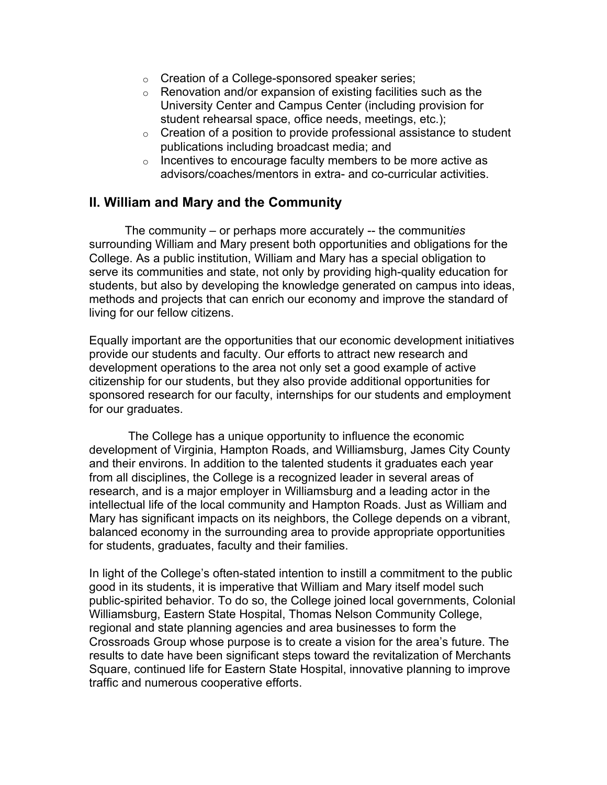- o Creation of a College-sponsored speaker series;
- $\circ$  Renovation and/or expansion of existing facilities such as the University Center and Campus Center (including provision for student rehearsal space, office needs, meetings, etc.);
- $\circ$  Creation of a position to provide professional assistance to student publications including broadcast media; and
- $\circ$  Incentives to encourage faculty members to be more active as advisors/coaches/mentors in extra- and co-curricular activities.

# **II. William and Mary and the Community**

 The community – or perhaps more accurately -- the communit*ies* surrounding William and Mary present both opportunities and obligations for the College. As a public institution, William and Mary has a special obligation to serve its communities and state, not only by providing high-quality education for students, but also by developing the knowledge generated on campus into ideas, methods and projects that can enrich our economy and improve the standard of living for our fellow citizens.

Equally important are the opportunities that our economic development initiatives provide our students and faculty. Our efforts to attract new research and development operations to the area not only set a good example of active citizenship for our students, but they also provide additional opportunities for sponsored research for our faculty, internships for our students and employment for our graduates.

 The College has a unique opportunity to influence the economic development of Virginia, Hampton Roads, and Williamsburg, James City County and their environs. In addition to the talented students it graduates each year from all disciplines, the College is a recognized leader in several areas of research, and is a major employer in Williamsburg and a leading actor in the intellectual life of the local community and Hampton Roads. Just as William and Mary has significant impacts on its neighbors, the College depends on a vibrant, balanced economy in the surrounding area to provide appropriate opportunities for students, graduates, faculty and their families.

In light of the College's often-stated intention to instill a commitment to the public good in its students, it is imperative that William and Mary itself model such public-spirited behavior. To do so, the College joined local governments, Colonial Williamsburg, Eastern State Hospital, Thomas Nelson Community College, regional and state planning agencies and area businesses to form the Crossroads Group whose purpose is to create a vision for the area's future. The results to date have been significant steps toward the revitalization of Merchants Square, continued life for Eastern State Hospital, innovative planning to improve traffic and numerous cooperative efforts.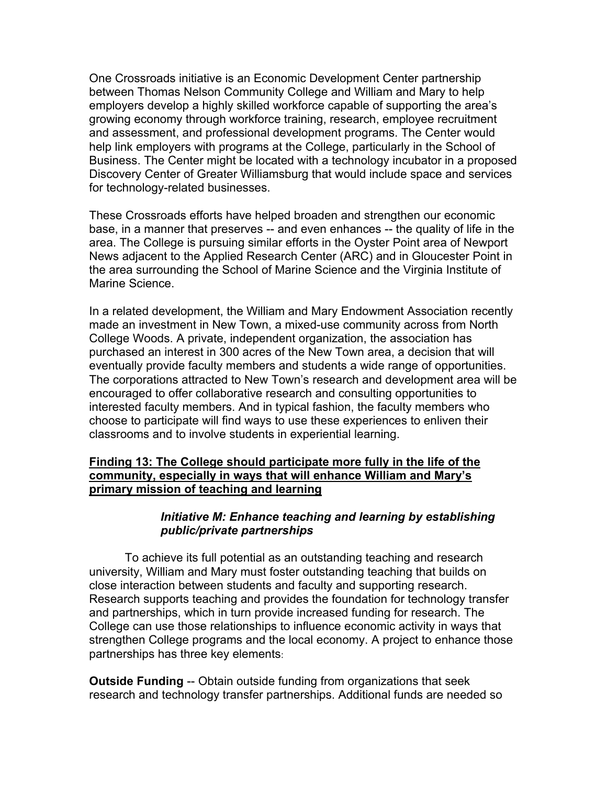One Crossroads initiative is an Economic Development Center partnership between Thomas Nelson Community College and William and Mary to help employers develop a highly skilled workforce capable of supporting the area's growing economy through workforce training, research, employee recruitment and assessment, and professional development programs. The Center would help link employers with programs at the College, particularly in the School of Business. The Center might be located with a technology incubator in a proposed Discovery Center of Greater Williamsburg that would include space and services for technology-related businesses.

These Crossroads efforts have helped broaden and strengthen our economic base, in a manner that preserves -- and even enhances -- the quality of life in the area. The College is pursuing similar efforts in the Oyster Point area of Newport News adjacent to the Applied Research Center (ARC) and in Gloucester Point in the area surrounding the School of Marine Science and the Virginia Institute of Marine Science.

In a related development, the William and Mary Endowment Association recently made an investment in New Town, a mixed-use community across from North College Woods. A private, independent organization, the association has purchased an interest in 300 acres of the New Town area, a decision that will eventually provide faculty members and students a wide range of opportunities. The corporations attracted to New Town's research and development area will be encouraged to offer collaborative research and consulting opportunities to interested faculty members. And in typical fashion, the faculty members who choose to participate will find ways to use these experiences to enliven their classrooms and to involve students in experiential learning.

# **Finding 13: The College should participate more fully in the life of the community, especially in ways that will enhance William and Mary's primary mission of teaching and learning**

## *Initiative M: Enhance teaching and learning by establishing public/private partnerships*

 To achieve its full potential as an outstanding teaching and research university, William and Mary must foster outstanding teaching that builds on close interaction between students and faculty and supporting research. Research supports teaching and provides the foundation for technology transfer and partnerships, which in turn provide increased funding for research. The College can use those relationships to influence economic activity in ways that strengthen College programs and the local economy. A project to enhance those partnerships has three key elements:

**Outside Funding** -- Obtain outside funding from organizations that seek research and technology transfer partnerships. Additional funds are needed so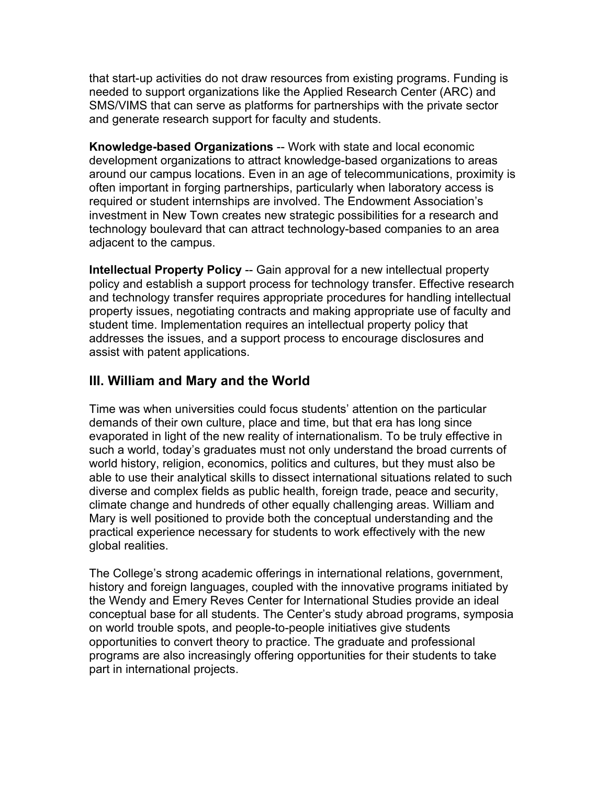that start-up activities do not draw resources from existing programs. Funding is needed to support organizations like the Applied Research Center (ARC) and SMS/VIMS that can serve as platforms for partnerships with the private sector and generate research support for faculty and students.

**Knowledge-based Organizations** -- Work with state and local economic development organizations to attract knowledge-based organizations to areas around our campus locations. Even in an age of telecommunications, proximity is often important in forging partnerships, particularly when laboratory access is required or student internships are involved. The Endowment Association's investment in New Town creates new strategic possibilities for a research and technology boulevard that can attract technology-based companies to an area adjacent to the campus.

**Intellectual Property Policy** -- Gain approval for a new intellectual property policy and establish a support process for technology transfer. Effective research and technology transfer requires appropriate procedures for handling intellectual property issues, negotiating contracts and making appropriate use of faculty and student time. Implementation requires an intellectual property policy that addresses the issues, and a support process to encourage disclosures and assist with patent applications.

# **III. William and Mary and the World**

Time was when universities could focus students' attention on the particular demands of their own culture, place and time, but that era has long since evaporated in light of the new reality of internationalism. To be truly effective in such a world, today's graduates must not only understand the broad currents of world history, religion, economics, politics and cultures, but they must also be able to use their analytical skills to dissect international situations related to such diverse and complex fields as public health, foreign trade, peace and security, climate change and hundreds of other equally challenging areas. William and Mary is well positioned to provide both the conceptual understanding and the practical experience necessary for students to work effectively with the new global realities.

The College's strong academic offerings in international relations, government, history and foreign languages, coupled with the innovative programs initiated by the Wendy and Emery Reves Center for International Studies provide an ideal conceptual base for all students. The Center's study abroad programs, symposia on world trouble spots, and people-to-people initiatives give students opportunities to convert theory to practice. The graduate and professional programs are also increasingly offering opportunities for their students to take part in international projects.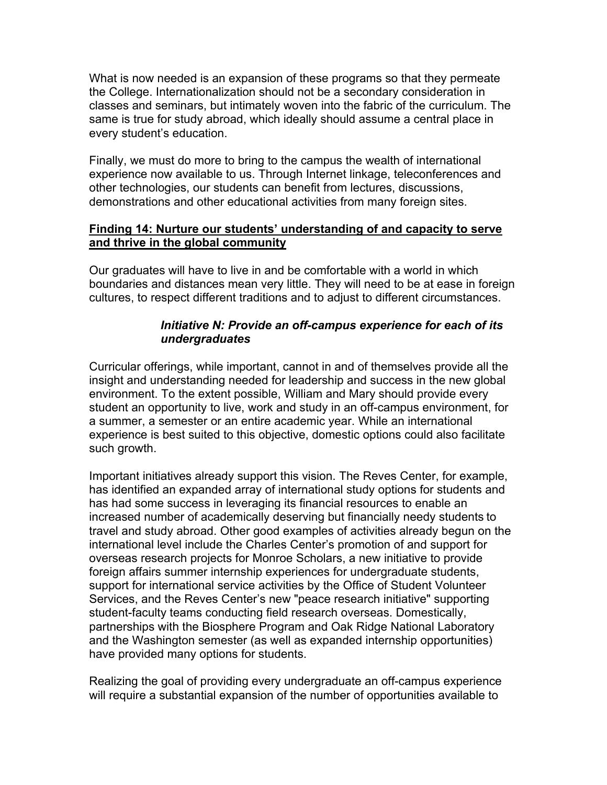What is now needed is an expansion of these programs so that they permeate the College. Internationalization should not be a secondary consideration in classes and seminars, but intimately woven into the fabric of the curriculum. The same is true for study abroad, which ideally should assume a central place in every student's education.

Finally, we must do more to bring to the campus the wealth of international experience now available to us. Through Internet linkage, teleconferences and other technologies, our students can benefit from lectures, discussions, demonstrations and other educational activities from many foreign sites.

# **Finding 14: Nurture our students' understanding of and capacity to serve and thrive in the global community**

Our graduates will have to live in and be comfortable with a world in which boundaries and distances mean very little. They will need to be at ease in foreign cultures, to respect different traditions and to adjust to different circumstances.

# *Initiative N: Provide an off-campus experience for each of its undergraduates*

Curricular offerings, while important, cannot in and of themselves provide all the insight and understanding needed for leadership and success in the new global environment. To the extent possible, William and Mary should provide every student an opportunity to live, work and study in an off-campus environment, for a summer, a semester or an entire academic year. While an international experience is best suited to this objective, domestic options could also facilitate such growth.

Important initiatives already support this vision. The Reves Center, for example, has identified an expanded array of international study options for students and has had some success in leveraging its financial resources to enable an increased number of academically deserving but financially needy students to travel and study abroad. Other good examples of activities already begun on the international level include the Charles Center's promotion of and support for overseas research projects for Monroe Scholars, a new initiative to provide foreign affairs summer internship experiences for undergraduate students, support for international service activities by the Office of Student Volunteer Services, and the Reves Center's new "peace research initiative" supporting student-faculty teams conducting field research overseas. Domestically, partnerships with the Biosphere Program and Oak Ridge National Laboratory and the Washington semester (as well as expanded internship opportunities) have provided many options for students.

Realizing the goal of providing every undergraduate an off-campus experience will require a substantial expansion of the number of opportunities available to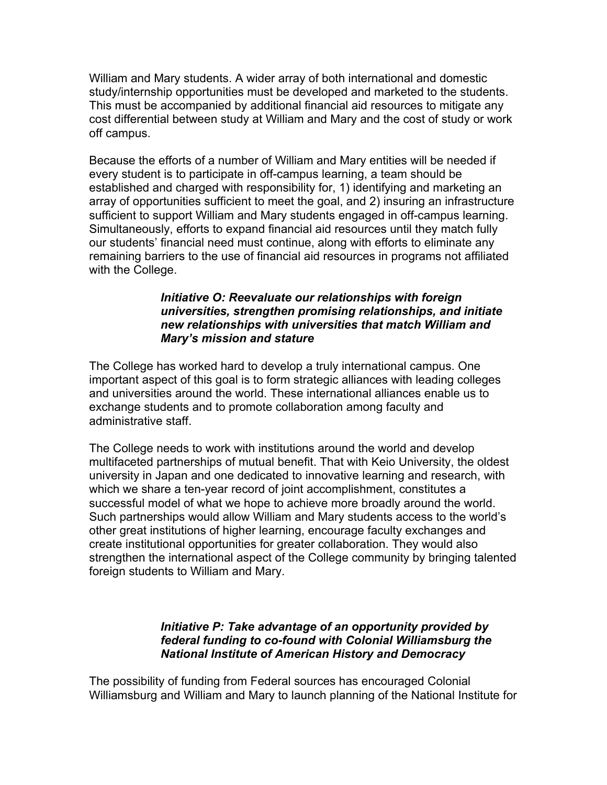William and Mary students. A wider array of both international and domestic study/internship opportunities must be developed and marketed to the students. This must be accompanied by additional financial aid resources to mitigate any cost differential between study at William and Mary and the cost of study or work off campus.

Because the efforts of a number of William and Mary entities will be needed if every student is to participate in off-campus learning, a team should be established and charged with responsibility for, 1) identifying and marketing an array of opportunities sufficient to meet the goal, and 2) insuring an infrastructure sufficient to support William and Mary students engaged in off-campus learning. Simultaneously, efforts to expand financial aid resources until they match fully our students' financial need must continue, along with efforts to eliminate any remaining barriers to the use of financial aid resources in programs not affiliated with the College.

#### *Initiative O: Reevaluate our relationships with foreign universities, strengthen promising relationships, and initiate new relationships with universities that match William and Mary's mission and stature*

The College has worked hard to develop a truly international campus. One important aspect of this goal is to form strategic alliances with leading colleges and universities around the world. These international alliances enable us to exchange students and to promote collaboration among faculty and administrative staff.

The College needs to work with institutions around the world and develop multifaceted partnerships of mutual benefit. That with Keio University, the oldest university in Japan and one dedicated to innovative learning and research, with which we share a ten-year record of joint accomplishment, constitutes a successful model of what we hope to achieve more broadly around the world. Such partnerships would allow William and Mary students access to the world's other great institutions of higher learning, encourage faculty exchanges and create institutional opportunities for greater collaboration. They would also strengthen the international aspect of the College community by bringing talented foreign students to William and Mary.

## *Initiative P: Take advantage of an opportunity provided by federal funding to co-found with Colonial Williamsburg the National Institute of American History and Democracy*

The possibility of funding from Federal sources has encouraged Colonial Williamsburg and William and Mary to launch planning of the National Institute for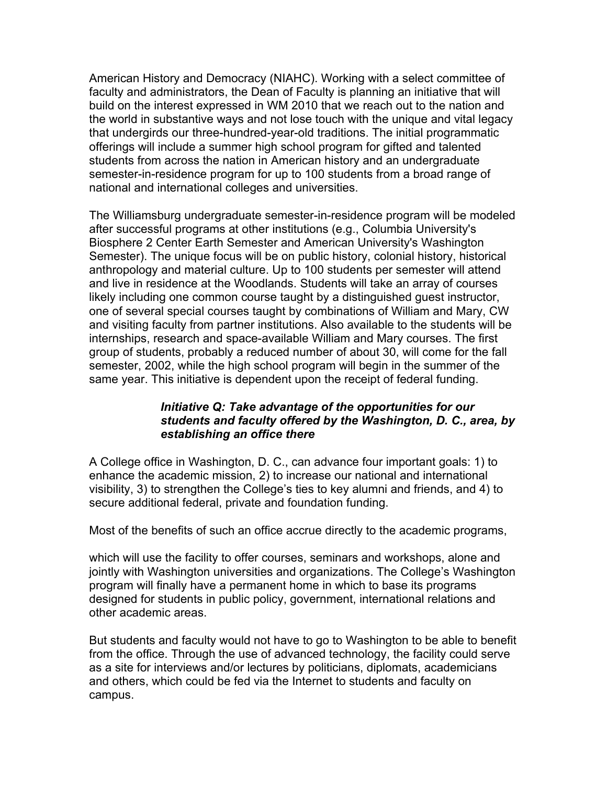American History and Democracy (NIAHC). Working with a select committee of faculty and administrators, the Dean of Faculty is planning an initiative that will build on the interest expressed in WM 2010 that we reach out to the nation and the world in substantive ways and not lose touch with the unique and vital legacy that undergirds our three-hundred-year-old traditions. The initial programmatic offerings will include a summer high school program for gifted and talented students from across the nation in American history and an undergraduate semester-in-residence program for up to 100 students from a broad range of national and international colleges and universities.

The Williamsburg undergraduate semester-in-residence program will be modeled after successful programs at other institutions (e.g., Columbia University's Biosphere 2 Center Earth Semester and American University's Washington Semester). The unique focus will be on public history, colonial history, historical anthropology and material culture. Up to 100 students per semester will attend and live in residence at the Woodlands. Students will take an array of courses likely including one common course taught by a distinguished guest instructor, one of several special courses taught by combinations of William and Mary, CW and visiting faculty from partner institutions. Also available to the students will be internships, research and space-available William and Mary courses. The first group of students, probably a reduced number of about 30, will come for the fall semester, 2002, while the high school program will begin in the summer of the same year. This initiative is dependent upon the receipt of federal funding.

## *Initiative Q: Take advantage of the opportunities for our students and faculty offered by the Washington, D. C., area, by establishing an office there*

A College office in Washington, D. C., can advance four important goals: 1) to enhance the academic mission, 2) to increase our national and international visibility, 3) to strengthen the College's ties to key alumni and friends, and 4) to secure additional federal, private and foundation funding.

Most of the benefits of such an office accrue directly to the academic programs,

which will use the facility to offer courses, seminars and workshops, alone and jointly with Washington universities and organizations. The College's Washington program will finally have a permanent home in which to base its programs designed for students in public policy, government, international relations and other academic areas.

But students and faculty would not have to go to Washington to be able to benefit from the office. Through the use of advanced technology, the facility could serve as a site for interviews and/or lectures by politicians, diplomats, academicians and others, which could be fed via the Internet to students and faculty on campus.